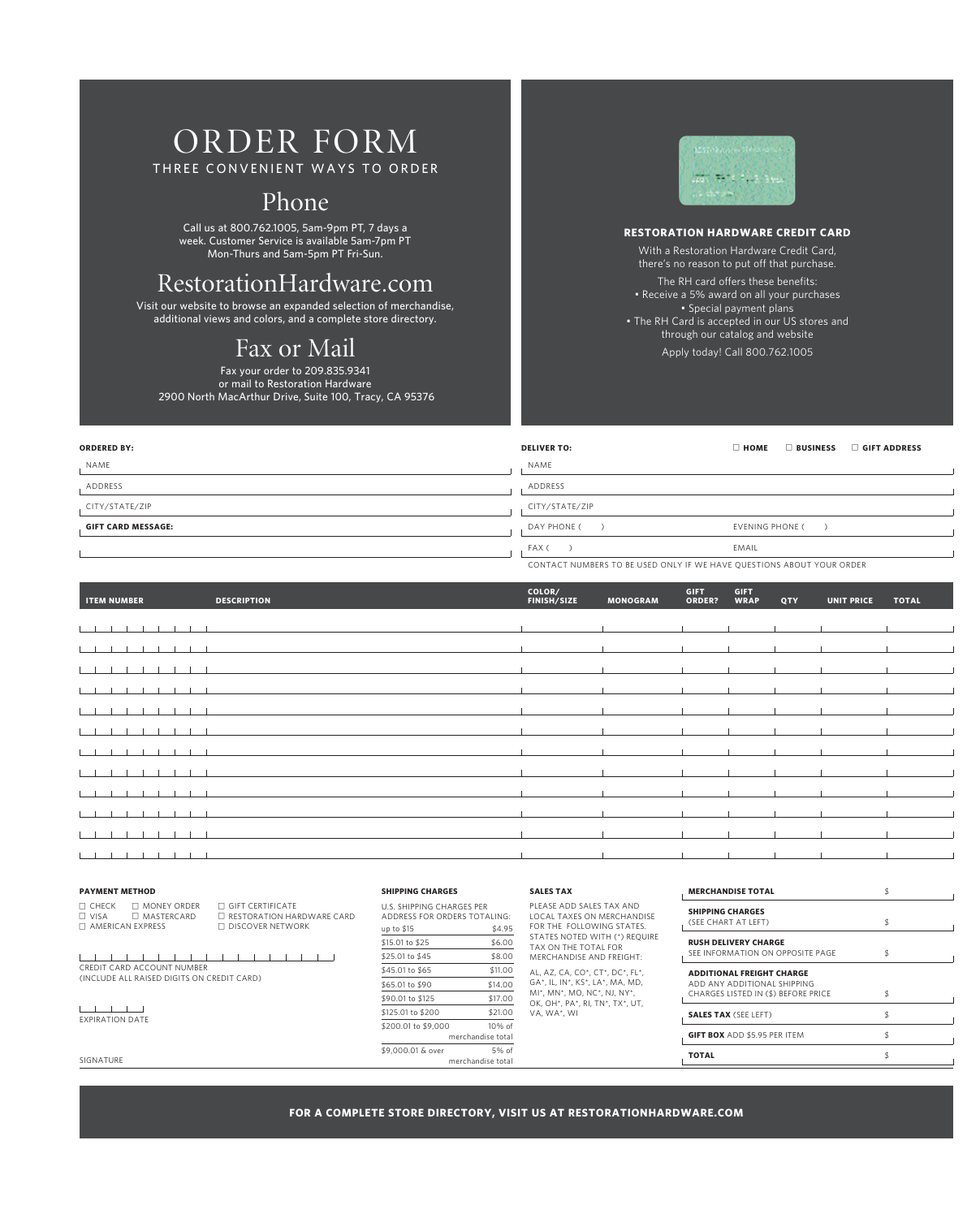# order form

three convenient ways to order

### Phone

Call us at 800.762.1005, 5am-9pm PT, 7 days a week. Customer Service is available 5am-7pm PT Mon-Thurs and 5am-5pm PT Fri-Sun.

### RestorationHardware.com

Visit our website to browse an expanded selection of merchandise, additional views and colors, and a complete store directory.

## Fax or Mail

Fax your order to 209.835.9341 or mail to Restoration Hardware 2900 North MacArthur Drive, Suite 100, Tracy, CA 95376



#### **Restoration Hardware Credit Card**

With a Restoration Hardware Credit Card, there's no reason to put off that purchase. The RH card offers these benefits: • Receive a 5% award on all your purchases • Special payment plans • The RH Card is accepted in our US stores and through our catalog and website Apply today! Call 800.762.1005

| <b>ORDERED BY:</b>        | <b>DELIVER TO:</b> | $\Box$ BUSINESS<br>GIFT ADDRESS<br>$\Box$ HOME |  |  |  |
|---------------------------|--------------------|------------------------------------------------|--|--|--|
| NAME                      | NAME               |                                                |  |  |  |
| ADDRESS                   | ADDRESS            |                                                |  |  |  |
| CITY/STATE/ZIP            | CITY/STATE/ZIP     |                                                |  |  |  |
| <b>GIFT CARD MESSAGE:</b> | DAY PHONE (        | <b>EVENING PHONE (</b>                         |  |  |  |
|                           | FAX (              | EMAIL                                          |  |  |  |
|                           |                    |                                                |  |  |  |

contact numbers to be used only if we have questions about your order

| <b>ITEM NUMBER</b>                            | <b>DESCRIPTION</b> | COLOR/<br><b>FINISH/SIZE</b> | <b>MONOGRAM</b> | <b>GIFT</b><br>ORDER? | <b>GIFT</b><br><b>WRAP</b> | QTY | <b>UNIT PRICE</b> | <b>TOTAL</b> |
|-----------------------------------------------|--------------------|------------------------------|-----------------|-----------------------|----------------------------|-----|-------------------|--------------|
| $\sim$ 1<br><b>Contract Contract Contract</b> |                    |                              |                 |                       |                            |     |                   |              |
|                                               |                    |                              |                 |                       |                            |     |                   |              |
|                                               |                    |                              |                 |                       |                            |     |                   |              |
|                                               |                    |                              |                 |                       |                            |     |                   |              |
|                                               |                    |                              |                 |                       |                            |     |                   |              |
|                                               |                    |                              |                 |                       |                            |     |                   |              |
|                                               |                    |                              |                 |                       |                            |     |                   |              |
|                                               |                    |                              |                 |                       |                            |     |                   |              |
|                                               |                    |                              |                 |                       |                            |     |                   |              |
|                                               |                    |                              |                 |                       |                            |     |                   |              |
|                                               |                    |                              |                 |                       |                            |     |                   |              |
|                                               |                    |                              |                 |                       |                            |     |                   |              |

#### **Payment Method**

c Check c Money Order c Gift Certificate

Credit card account number

(include all raised digits on credit card)

 $\begin{tabular}{ll} $\Box$ VISA & $\Box$ MASTERCAP & $\Box$ RESTORATION HARDWARE CARD \\ $\Box$ AMERICAN EXPRESS & $\Box$ DISCOVER NETWORK \end{tabular}$ D DISCOVER NETWORK

| <b>SHIPPING CHARGES</b> |                                                                  |  |  |  |  |
|-------------------------|------------------------------------------------------------------|--|--|--|--|
|                         | <b>U.S. SHIPPING CHARGES PER</b><br>ADDRESS FOR ORDERS TOTALING: |  |  |  |  |
| up to \$15              | \$4.95                                                           |  |  |  |  |
| \$15.01 to \$25         | \$6.00                                                           |  |  |  |  |
| \$25.01 to \$45         | \$8.00                                                           |  |  |  |  |
| \$45.01 to \$65         | \$11.00                                                          |  |  |  |  |
| \$65.01 to \$90         | \$14.00                                                          |  |  |  |  |
| \$90.01 to \$125        | \$17.00                                                          |  |  |  |  |
| \$125.01 to \$200       | \$21.00                                                          |  |  |  |  |
| \$200.01 to \$9,000     | $10%$ of                                                         |  |  |  |  |
|                         | merchandise total                                                |  |  |  |  |

\$9,000.01 & over 5% of

merchandise total

#### **Sales Tax**

Please add sales tax and local taxes on merchandise FOR THE FOLLOWING STATES. States noted with (\*) require tax on the total for MERCHANDISE AND FREIGHT: AL, AZ, CA, CO\*, CT\*, DC\*, FL\*, GA\*, IL, IN\*, KS\*, LA\*, MA, MD, MI\*, MN\*, MO, NC\*, NJ, NY\*, OK, OH\*, PA\*, RI, TN\*, TX\*, UT, VA, WA\*, WI

### **MERCHANDISE TOTAL** \$ **Shipping Charges** Something continued to the contract of the set of the set of the set of the set of the set of the set of the set of the set of the set of the set of the set of the set of the set of the set of the set of the set of the set **Rush Delivery Charge** SFE INFORMATION ON OPPOSITE PAGE **Additional Freight Charge** Add any additional shipping CHARGES LISTED IN (\$) BEFORE PRICE **SALES TAX** (SEE LEFT) \$ **GIFT BOX** ADD \$5.95 PER ITEM \$ **Total** \$

SIGNATURE

EXPIRATION DATE

 $-1$   $-1$   $-1$   $-1$ 

**for a complete store directory, visit us at restorationhardware.com**